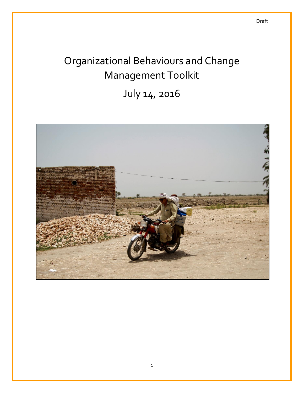# Organizational Behaviours and Change Management Toolkit

July 14, 2016

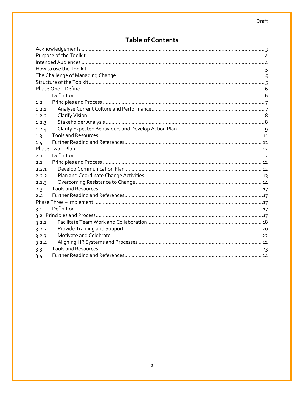# **Table of Contents**

| 1.1   |  |
|-------|--|
| 1.2   |  |
| 1.2.1 |  |
| 1.2.2 |  |
| 1.2.3 |  |
| 1.2.4 |  |
| 1.3   |  |
| 1.4   |  |
|       |  |
| 2.1   |  |
| 2.2   |  |
| 2.2.1 |  |
| 2.2.2 |  |
| 2.2.3 |  |
| 2.3   |  |
| 2.4   |  |
|       |  |
| 3.1   |  |
|       |  |
| 3.2.1 |  |
| 3.2.2 |  |
| 3.2.3 |  |
| 3.2.4 |  |
| 3.3   |  |
| 3.4   |  |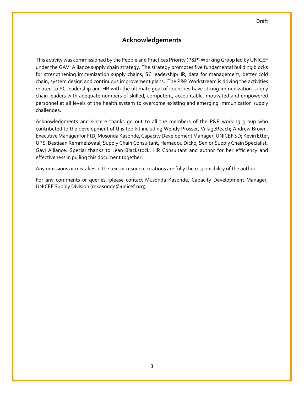# **Acknowledgements**

<span id="page-2-0"></span>This activity was commissioned by the People and Practices Priority (P&P) Working Group led by UNICEF under the GAVI Alliance supply chain strategy. The strategy promotes five fundamental building blocks for strengthening immunization supply chains; SC leadership/HR, data for management, better cold chain, system design and continuous improvement plans. The P&P Workstream is driving the activities related to SC leadership and HR with the ultimate goal of countries have strong immunization supply chain leaders with adequate numbers of skilled, competent, accountable, motivated and empowered personnel at all levels of the health system to overcome existing and emerging immunization supply challenges.

Acknowledgments and sincere thanks go out to all the members of the P&P working group who contributed to the development of this toolkit including Wendy Prosser, VillageReach; Andrew Brown, Executive Manager for PtD; Musonda Kasonde, Capacity Development Manager, UNICEF SD; Kevin Etter, UPS, Bastiaan Remmelzwaal, Supply Chain Consultant, Hamadou Dicko, Senior Supply Chain Specialist, Gavi Alliance. Special thanks to Jean Blackstock, HR Consultant and author for her efficiency and effectiveness in pulling this document together.

Any omissions or mistakes in the text or resource citations are fully the responsibility of the author.

For any comments or queries, please contact Musonda Kasonde, Capacity Development Manager, UNICEF Supply Division (mkasonde@unicef.org).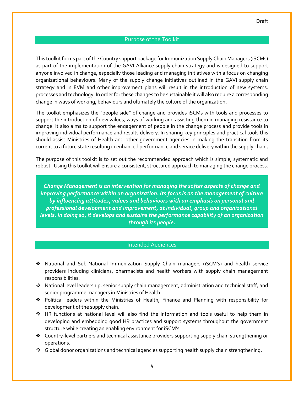# Purpose of the Toolkit

<span id="page-3-0"></span>This toolkit forms part of the Country support package for Immunization Supply Chain Managers (iSCMs) as part of the implementation of the GAVI Alliance supply chain strategy and is designed to support anyone involved in change, especially those leading and managing initiatives with a focus on changing organizational behaviours. Many of the supply change initiatives outlined in the GAVI supply chain strategy and in EVM and other improvement plans will result in the introduction of new systems, processes and technology. In order for these changes to be sustainable it will also require a corresponding change in ways of working, behaviours and ultimately the culture of the organization.

The toolkit emphasizes the "people side" of change and provides iSCMs with tools and processes to support the introduction of new values, ways of working and assisting them in managing resistance to change. It also aims to support the engagement of people in the change process and provide tools in improving individual performance and results delivery. In sharing key principles and practical tools this should assist Ministries of Health and other government agencies in making the transition from its current to a future state resulting in enhanced performance and service delivery within the supply chain.

The purpose of this toolkit is to set out the recommended approach which is simple, systematic and robust. Using this toolkit will ensure a consistent, structured approach to managing the change process.

*Change Management is an intervention for managing the softer aspects of change and improving performance within an organization. Its focus is on the management of culture by influencing attitudes, values and behaviours with an emphasis on personal and professional development and improvement, at individual, group and organizational levels. In doing so, it develops and sustains the performance capability of an organization through its people.*

#### Intended Audiences

- <span id="page-3-1"></span> National and Sub-National Immunization Supply Chain managers (iSCM's) and health service providers including clinicians, pharmacists and health workers with supply chain management responsibilities.
- National level leadership, senior supply chain management, administration and technical staff, and senior programme managers in Ministries of Health.
- Political leaders within the Ministries of Health, Finance and Planning with responsibility for development of the supply chain.
- HR functions at national level will also find the information and tools useful to help them in developing and embedding good HR practices and support systems throughout the government structure while creating an enabling environment for iSCM's.
- Country-level partners and technical assistance providers supporting supply chain strengthening or operations.
- Global donor organizations and technical agencies supporting health supply chain strengthening.

4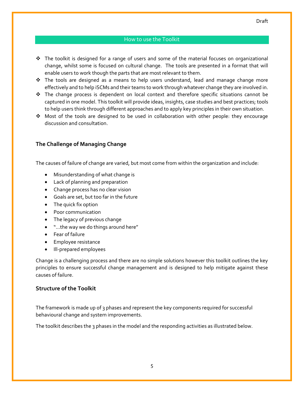- <span id="page-4-0"></span> $\cdot \cdot$  The toolkit is designed for a range of users and some of the material focuses on organizational change, whilst some is focused on cultural change. The tools are presented in a format that will enable users to work though the parts that are most relevant to them.
- $\div$  The tools are designed as a means to help users understand, lead and manage change more effectively and to help iSCMs and their teams to work through whatever change they are involved in.
- $\div$  The change process is dependent on local context and therefore specific situations cannot be captured in one model. This toolkit will provide ideas, insights, case studies and best practices; tools to help users think through different approaches and to apply key principles in their own situation.
- ◆ Most of the tools are designed to be used in collaboration with other people: they encourage discussion and consultation.

## <span id="page-4-1"></span>**The Challenge of Managing Change**

The causes of failure of change are varied, but most come from within the organization and include:

- Misunderstanding of what change is
- Lack of planning and preparation
- Change process has no clear vision
- Goals are set, but too far in the future
- The quick fix option
- Poor communication
- The legacy of previous change
- "…the way we do things around here"
- Fear of failure
- Employee resistance
- Ill-prepared employees

Change is a challenging process and there are no simple solutions however this toolkit outlines the key principles to ensure successful change management and is designed to help mitigate against these causes of failure.

#### <span id="page-4-2"></span>**Structure of the Toolkit**

The framework is made up of 3 phases and represent the key components required for successful behavioural change and system improvements.

The toolkit describes the 3 phases in the model and the responding activities as illustrated below.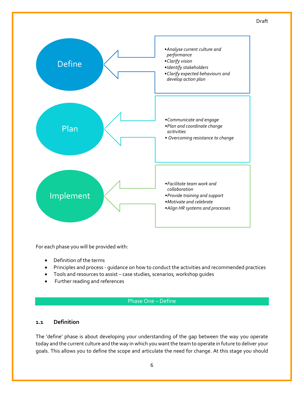

For each phase you will be provided with:

- Definition of the terms
- Principles and process guidance on how to conduct the activities and recommended practices
- Tools and resources to assist case studies, scenarios, workshop guides
- <span id="page-5-0"></span>Further reading and references

# Phase One – Define

# <span id="page-5-1"></span>**1.1 Definition**

The 'define' phase is about developing your understanding of the gap between the way you operate today and the current culture and the way in which you want the team to operate in future to deliver your goals. This allows you to define the scope and articulate the need for change. At this stage you should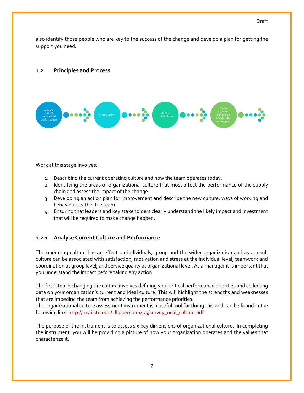also identify those people who are key to the success of the change and develop a plan for getting the support you need.

#### <span id="page-6-0"></span>**1.2 Principles and Process**



Work at this stage involves:

- 1. Describing the current operating culture and how the team operates today.
- 2. Identifying the areas of organizational culture that most affect the performance of the supply chain and assess the impact of the change.
- 3. Developing an action plan for improvement and describe the new culture, ways of working and behaviours within the team
- 4. Ensuring that leaders and key stakeholders clearly understand the likely impact and investment that will be required to make change happen.

## <span id="page-6-1"></span>**1.2.1 Analyse Current Culture and Performance**

The operating culture has an effect on individuals, group and the wider organization and as a result culture can be associated with satisfaction, motivation and stress at the individual level; teamwork and coordination at group level; and service quality at organizational level. As a manager it is important that you understand the impact before taking any action.

The first step in changing the culture involves defining your critical performance priorities and collecting data on your organization's current and ideal culture. This will highlight the strengths and weaknesses that are impeding the team from achieving the performance priorities.

The organizational culture assessment instrument is a useful tool for doing this and can be found in the following link. [http://my.ilstu.edu/~llipper/com435/survey\\_ocai\\_culture.pdf](http://my.ilstu.edu/~llipper/com435/survey_ocai_culture.pdf)

The purpose of the instrument is to assess six key dimensions of organizational culture. In completing the instrument, you will be providing a picture of how your organization operates and the values that characterize it.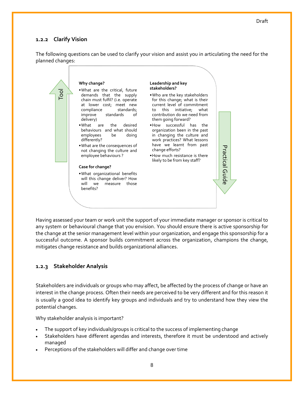# <span id="page-7-0"></span>**1.2.2 Clarify Vision**

The following questions can be used to clarify your vision and assist you in articulating the need for the planned changes:



Having assessed your team or work unit the support of your immediate manager or sponsor is critical to any system or behavioural change that you envision. You should ensure there is active sponsorship for the change at the senior management level within your organization, and engage this sponsorship for a successful outcome. A sponsor builds commitment across the organization, champions the change, mitigates change resistance and builds organizational alliances.

# <span id="page-7-1"></span>**1.2.3 Stakeholder Analysis**

Stakeholders are individuals or groups who may affect, be affected by the process of change or have an interest in the change process. Often their needs are perceived to be very different and for this reason it is usually a good idea to identify key groups and individuals and try to understand how they view the potential changes.

Why stakeholder analysis is important?

- The support of key individuals/groups is critical to the success of implementing change
- Stakeholders have different agendas and interests, therefore it must be understood and actively managed
- Perceptions of the stakeholders will differ and change over time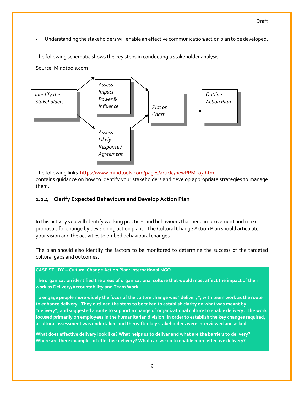Understanding the stakeholders will enable an effective communication/action plan to be developed.

The following schematic shows the key steps in conducting a stakeholder analysis.

Source: Mindtools.com



The following links [https://www.mindtools.com/pages/article/newPPM\\_07.htm](https://www.mindtools.com/pages/article/newPPM_07.htm) contains guidance on how to identify your stakeholders and develop appropriate strategies to manage them.

# <span id="page-8-0"></span>**1.2.4 Clarify Expected Behaviours and Develop Action Plan**

In this activity you will identify working practices and behaviours that need improvement and make proposals for change by developing action plans. The Cultural Change Action Plan should articulate your vision and the activities to embed behavioural changes.

The plan should also identify the factors to be monitored to determine the success of the targeted cultural gaps and outcomes.

#### **CASE STUDY – Cultural Change Action Plan: International NGO**

**The organization identified the areas of organizational culture that would most affect the impact of their work as Delivery/Accountability and Team Work.**

**To engage people more widely the focus of the culture change was "delivery", with team work as the route to enhance delivery. They outlined the steps to be taken to establish clarity on what was meant by "delivery", and suggested a route to support a change of organizational culture to enable delivery. The work focused primarily on employees in the humanitarian division. In order to establish the key changes required, a cultural assessment was undertaken and thereafter key stakeholders were interviewed and asked:**

**What does effective delivery look like? What helps us to deliver and what are the barriers to delivery? Where are there examples of effective delivery? What can we do to enable more effective delivery?**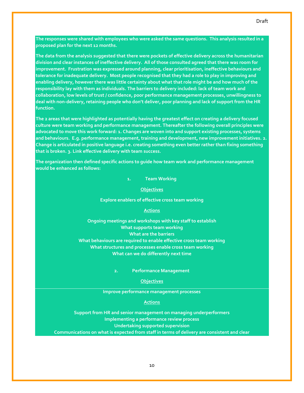Draft

**The data from the analysis suggested that there were pockets of effective delivery across the humanitarian division and clear instances of ineffective delivery. All of those consulted agreed that there was room for improvement. Frustration was expressed around planning, clear prioritisation, ineffective behaviours and tolerance for inadequate delivery. Most people recognised that they had a role to play in improving and enabling delivery, however there was little certainty about what that role might be and how much of the responsibility lay with them as individuals. The barriers to delivery included: lack of team work and collaboration, low levels of trust / confidence, poor performance management processes, unwillingness to deal with non-delivery, retaining people who don't deliver, poor planning and lack of support from the HR function.**

**proposed plan for the next 12 months.**

**The 2 areas that were highlighted as potentially having the greatest effect on creating a delivery focused culture were team working and performance management. Thereafter the following overall principles were advocated to move this work forward: 1. Changes are woven into and support existing processes, systems and behaviours. E.g. performance management, training and development, new improvement initiatives. 2. Change is articulated in positive language i.e. creating something even better rather than fixing something that is broken. 3. Link effective delivery with team success.**

**The organization then defined specific actions to guide how team work and performance management would be enhanced as follows:**

**1. Team Working**

**Objectives**

#### **Explore enablers of effective cross team working**

#### **Actions**

**Ongoing meetings and workshops with key staff to establish What supports team working What are the barriers What behaviours are required to enable effective cross team working What structures and processes enable cross team working What can we do differently next time**

**2. Performance Management**

#### **Objectives**

#### **Improve performance management processes**

#### **Actions**

**Support from HR and senior management on managing underperformers Implementing a performance review process Undertaking supported supervision Communications on what is expected from staff in terms of delivery are consistent and clear**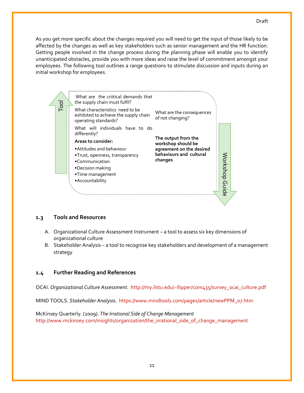As you get more specific about the changes required you will need to get the input of those likely to be affected by the changes as well as key stakeholders such as senior management and the HR function. Getting people involved in the change process during the planning phase will enable you to identify unanticipated obstacles, provide you with more ideas and raise the level of commitment amongst your employees. The following tool outlines a range questions to stimulate discussion and inputs during an initial workshop for employees.



## <span id="page-10-0"></span>**1.3 Tools and Resources**

- A. Organizational Culture Assessment Instrument a tool to assess six key dimensions of organizational culture
- B. [Stakeholder Analysis](http://intranet.oxfam.org.uk/support/hr/learning/od-framework/structure/organizational-design-toolkit/stage1.doc/tool.stage.1/stakeholder_analysis.pdf) a tool to recognise key stakeholders and development of a management strategy

# <span id="page-10-1"></span>**1.4 Further Reading and References**

OCAI. *Organizational Culture Assessment*. [http://my.ilstu.edu/~llipper/com435/survey\\_ocai\\_culture.pdf](http://my.ilstu.edu/~llipper/com435/survey_ocai_culture.pdf)

MIND TOOLS. *Stakeholder Analysis*. [https://www.mindtools.com/pages/article/newPPM\\_07.htm](https://www.mindtools.com/pages/article/newPPM_07.htm)

McKinsey Quarterly. (2009). *The Irrational Side of Change Management* [http://www.mckinsey.com/insights/organization/the\\_irrational\\_side\\_of\\_change\\_management](http://www.mckinsey.com/insights/organization/the_irrational_side_of_change_management)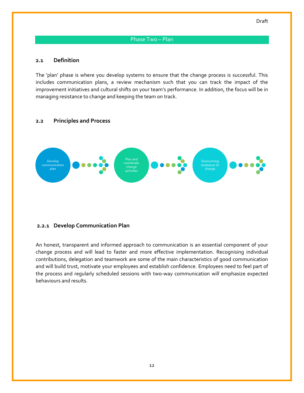#### Phase Two – Plan

#### <span id="page-11-1"></span><span id="page-11-0"></span>**2.1 Definition**

The 'plan' phase is where you develop systems to ensure that the change process is successful. This includes communication plans, a review mechanism such that you can track the impact of the improvement initiatives and cultural shifts on your team's performance. In addition, the focus will be in managing resistance to change and keeping the team on track.

#### <span id="page-11-2"></span>**2.2 Principles and Process**



#### <span id="page-11-3"></span>**2.2.1 Develop Communication Plan**

An honest, transparent and informed approach to communication is an essential component of your change process and will lead to faster and more effective implementation. Recognising individual contributions, delegation and teamwork are some of the main characteristics of good communication and will build trust, motivate your employees and establish confidence. Employees need to feel part of the process and regularly scheduled sessions with two-way communication will emphasize expected behaviours and results.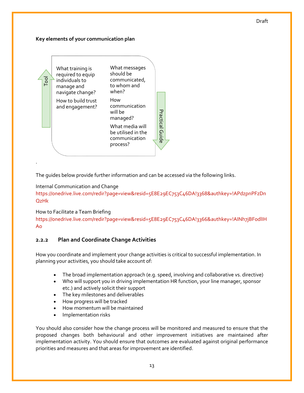#### Draft

#### **Key elements of your communication plan**



The guides below provide further information and can be accessed via the following links.

#### Internal Communication and Change

[https://onedrive.live.com/redir?page=view&resid=5E8E29EC753C46DA!3368&authkey=!APdzpnPFzDn](https://onedrive.live.com/redir?page=view&resid=5E8E29EC753C46DA!3368&authkey=!APdzpnPFzDnQzHk) [QzHk](https://onedrive.live.com/redir?page=view&resid=5E8E29EC753C46DA!3368&authkey=!APdzpnPFzDnQzHk)

#### How to Facilitate a Team Briefing

[https://onedrive.live.com/redir?page=view&resid=5E8E29EC753C46DA!3366&authkey=!AINh7jBFodlIH](https://onedrive.live.com/redir?page=view&resid=5E8E29EC753C46DA!3366&authkey=!AINh7jBFodlIHAo) [Ao](https://onedrive.live.com/redir?page=view&resid=5E8E29EC753C46DA!3366&authkey=!AINh7jBFodlIHAo)

## <span id="page-12-0"></span>**2.2.2 Plan and Coordinate Change Activities**

How you coordinate and implement your change activities is critical to successful implementation. In planning your activities, you should take account of:

- The broad implementation approach (e.g. speed, involving and collaborative vs. directive)
- Who will support you in driving implementation HR function, your line manager, sponsor etc.) and actively solicit their support
- The key milestones and deliverables
- How progress will be tracked
- How momentum will be maintained
- Implementation risks

You should also consider how the change process will be monitored and measured to ensure that the proposed changes both behavioural and other improvement initiatives are maintained after implementation activity. You should ensure that outcomes are evaluated against original performance priorities and measures and that areas for improvement are identified.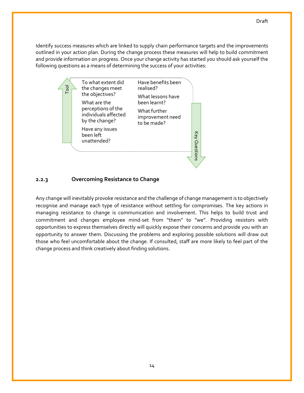Identify success measures which are linked to supply chain performance targets and the improvements outlined in your action plan. During the change process these measures will help to build commitment and provide information on progress. Once your change activity has started you should ask yourself the following questions as a means of determining the success of your activities:



## <span id="page-13-0"></span>**2.2.3 Overcoming Resistance to Change**

Any change will inevitably provoke resistance and the challenge of change management is to objectively recognise and manage each type of resistance without settling for compromises. The key actions in managing resistance to change is communication and involvement. This helps to build trust and commitment and changes employee mind-set from "them" to "we". Providing resistors with opportunities to express themselves directly will quickly expose their concerns and provide you with an opportunity to answer them. Discussing the problems and exploring possible solutions will draw out those who feel uncomfortable about the change. If consulted, staff are more likely to feel part of the change process and think creatively about finding solutions.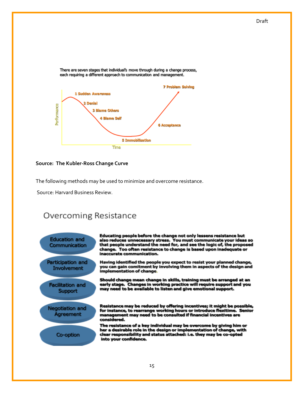



#### **Source: The Kubler-Ross Change Curve**

The following methods may be used to minimize and overcome resistance.

Source: Harvard Business Review.

# Overcoming Resistance



Educating people before the change not only lessens resistance but also reduces unnecessary stress. You must communicate your ideas so<br>that people understand the need for, and see the logic of, the proposed change. Too often resistance to change is based upon inadequate or inaccurate communication.

Having identified the people you expect to resist your planned change, you can gain comitment by involving them in aspects of the design and implementation of change.

Should change mean change in skills, training must be arranged at an early stage. Changes in working practice will require support and you may need to be available to listen and give emotional support.

Resistance may be reduced by offering incentives; it might be possible, for instance, to rearrange working hours or introduce flexitime. Senior management may need to be consulted if financial incentives are considered.

The resistance of a key individual may be overcome by giving him or her a desirable role in the design or implementation of change, with clear responsibility and status attached: i.e. they may be co-opted into your confidence.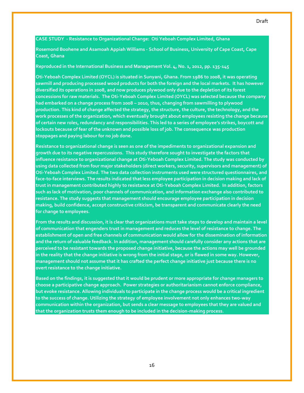#### **CASE STUDY - Resistance to Organizational Change: Oti Yeboah Complex Limited, Ghana**

**Rosemond Boohene and Asamoah Appiah Williams - School of Business, University of Cape Coast, Cape Coast, Ghana**

#### **Reproduced in the International Business and Management Vol. 4, No. 1, 2012, pp. 135-145**

**Oti-Yeboah Complex Limited (OYCL) is situated in Sunyani, Ghana. From 1986 to 2008, it was operating sawmill and producing processed wood products for both the foreign and the local markets. It has however diversified its operations in 2008, and now produces plywood only due to the depletion of its forest concessions for raw materials. The Oti-Yeboah Complex Limited (OYCL) was selected because the company had embarked on a change process from 2008 – 2010, thus, changing from sawmilling to plywood production. This kind of change affected the strategy, the structure, the culture, the technology, and the work processes of the organization, which eventually brought about employees resisting the change because of certain new roles, redundancy and responsibilities. This led to a series of employee's strikes, boycott and lockouts because of fear of the unknown and possible loss of job. The consequence was production stoppages and paying labour for no job done.** 

**Resistance to organizational change is seen as one of the impediments to organizational expansion and growth due to its negative repercussions. This study therefore sought to investigate the factors that influence resistance to organizational change at Oti-Yeboah Complex Limited. The study was conducted by using data collected from four major stakeholders (direct workers, security, supervisors and management) of Oti-Yeboah Complex Limited. The two data collection instruments used were structured questionnaires, and face-to-face interviews. The results indicated that less employee participation in decision making and lack of trust in management contributed highly to resistance at Oti-Yeboah Complex Limited. In addition, factors such as lack of motivation, poor channels of communication, and information exchange also contributed to resistance. The study suggests that management should encourage employee participation in decision making, build confidence, accept constructive criticism, be transparent and communicate clearly the need for change to employees.**

**From the results and discussion, it is clear that organizations must take steps to develop and maintain a level of communication that engenders trust in management and reduces the level of resistance to change. The establishment of open and free channels of communication would allow for the dissemination of information and the return of valuable feedback. In addition, management should carefully consider any actions that are perceived to be resistant towards the proposed change initiative, because the actions may well be grounded in the reality that the change initiative is wrong from the initial stage, or is flawed in some way. However, management should not assume that it has crafted the perfect change initiative just because there is no overt resistance to the change initiative.**

**Based on the findings, it is suggested that it would be prudent or more appropriate for change managers to choose a participative change approach. Power strategies or authoritarianism cannot enforce compliance, but evoke resistance. Allowing individuals to participate in the change process would be a critical ingredient to the success of change. Utilizing the strategy of employee involvement not only enhances two-way communication within the organization, but sends a clear message to employees that they are valued and that the organization trusts them enough to be included in the decision-making process.**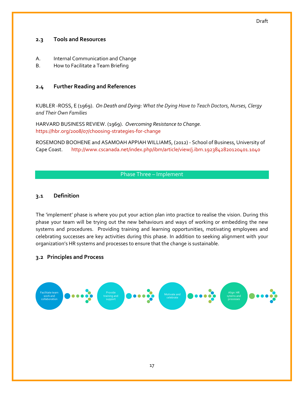#### Draft

### <span id="page-16-0"></span>**2.3 Tools and Resources**

- A. Internal Communication and Change
- B. How to Facilitate a Team Briefing

## <span id="page-16-1"></span>**2.4 Further Reading and References**

KUBLER -ROSS, E (1969). *On Death and Dying: What the Dying Have to Teach Doctors, Nurses, Clergy and Their Own Families*

HARVARD BUSINESS REVIEW. (1969). *Overcoming Resistance to Change.* <https://hbr.org/2008/07/choosing-strategies-for-change>

ROSEMOND BOOHENE and ASAMOAH APPIAH WILLIAMS, (2012) - School of Business, University of Cape Coast. <http://www.cscanada.net/index.php/ibm/article/view/j.ibm.1923842820120401.1040>

## Phase Three – Implement

#### <span id="page-16-3"></span><span id="page-16-2"></span>**3.1 Definition**

The 'implement' phase is where you put your action plan into practice to realise the vision. During this phase your team will be trying out the new behaviours and ways of working or embedding the new systems and procedures. Providing training and learning opportunities, motivating employees and celebrating successes are key activities during this phase. In addition to seeking alignment with your organization's HR systems and processes to ensure that the change is sustainable.

#### <span id="page-16-4"></span>**3.2 Principles and Process**

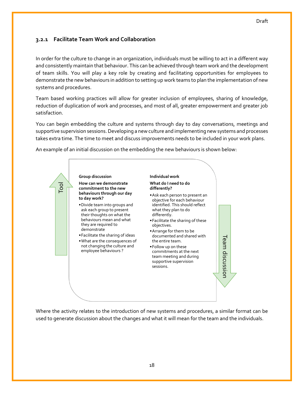# <span id="page-17-0"></span>**3.2.1 Facilitate Team Work and Collaboration**

In order for the culture to change in an organization, individuals must be willing to act in a different way and consistently maintain that behaviour. This can be achieved through team work and the development of team skills. You will play a key role by creating and facilitating opportunities for employees to demonstrate the new behaviours in addition to setting up work teams to plan the implementation of new systems and procedures.

Team based working practices will allow for greater inclusion of employees, sharing of knowledge, reduction of duplication of work and processes, and most of all, greater empowerment and greater job satisfaction.

You can begin embedding the culture and systems through day to day conversations, meetings and supportive supervision sessions. Developing a new culture and implementing new systems and processes takes extra time. The time to meet and discuss improvements needs to be included in your work plans.

An example of an initial discussion on the embedding the new behaviours is shown below:



Where the activity relates to the introduction of new systems and procedures, a similar format can be used to generate discussion about the changes and what it will mean for the team and the individuals.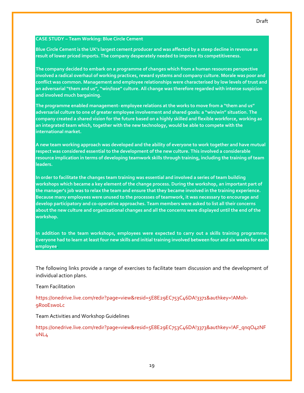#### **CASE STUDY – Team Working: Blue Circle Cement**

**Blue Circle Cement is the UK's largest cement producer and was affected by a steep decline in revenue as result of lower priced imports. The company desperately needed to improve its competitiveness.** 

**The company decided to embark on a programme of changes which from a human resources perspective involved a radical overhaul of working practices, reward systems and company culture. Morale was poor and conflict was common. Management and employee relationships were characterised by low levels of trust and an adversarial "them and us", "win/lose" culture. All change was therefore regarded with intense suspicion and involved much bargaining.** 

**The programme enabled management- employee relations at the works to move from a "them and us" adversarial culture to one of greater employee involvement and shared goals: a "win/win" situation. The company created a shared vision for the future based on a highly skilled and flexible workforce, working as an integrated team which, together with the new technology, would be able to compete with the international market.**

**A new team working approach was developed and the ability of everyone to work together and have mutual respect was considered essential to the development of the new culture. This involved a considerable resource implication in terms of developing teamwork skills through training, including the training of team leaders.**

**In order to facilitate the changes team training was essential and involved a series of team building workshops which became a key element of the change process. During the workshop, an important part of the manager's job was to relax the team and ensure that they became involved in the training experience. Because many employees were unused to the processes of teamwork, it was necessary to encourage and develop participatory and co-operative approaches. Team members were asked to list all their concerns about the new culture and organizational changes and all the concerns were displayed until the end of the workshop.**

**In addition to the team workshops, employees were expected to carry out a skills training programme. Everyone had to learn at least four new skills and initial training involved between four and six weeks for each employee**.

The following links provide a range of exercises to facilitate team discussion and the development of individual action plans.

Team Facilitation

[https://onedrive.live.com/redir?page=view&resid=5E8E29EC753C46DA!3371&authkey=!AM0h-](https://onedrive.live.com/redir?page=view&resid=5E8E29EC753C46DA!3371&authkey=!AM0h-9R00EswoLc)[9R00EswoLc](https://onedrive.live.com/redir?page=view&resid=5E8E29EC753C46DA!3371&authkey=!AM0h-9R00EswoLc)

Team Activities and Workshop Guidelines

[https://onedrive.live.com/redir?page=view&resid=5E8E29EC753C46DA!3373&authkey=!AF\\_qnqO4zNF](https://onedrive.live.com/redir?page=view&resid=5E8E29EC753C46DA!3373&authkey=!AF_qnqO4zNFuNL4) [uNL4](https://onedrive.live.com/redir?page=view&resid=5E8E29EC753C46DA!3373&authkey=!AF_qnqO4zNFuNL4)

#### Draft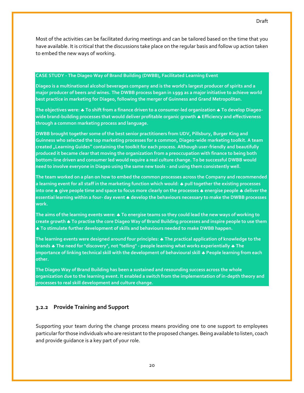Most of the activities can be facilitated during meetings and can be tailored based on the time that you have available. It is critical that the discussions take place on the regular basis and follow up action taken to embed the new ways of working.

#### **CASE STUDY - The Diageo Way of Brand Building (DWBB), Facilitated Learning Event**

**Diageo is a multinational alcohol beverages company and is the world's largest producer of spirits and a major producer of beers and wines. The DWBB process began in 1999 as a major initiative to achieve world best practice in marketing for Diageo, following the merger of Guinness and Grand Metropolitan.**

**The objectives were: To shift from a finance driven to a consumer-led organization To develop Diageowide brand-building processes that would deliver profitable organic growth Efficiency and effectiveness through a common marketing process and language.**

**DWBB brought together some of the best senior practitioners from UDV, Pillsbury, Burger King and Guinness who selected the top marketing processes for a common, Diageo-wide marketing toolkit. A team created "Learning Guides" containing the toolkit for each process. Although user-friendly and beautifully produced it became clear that moving the organization from a preoccupation with finance to being both bottom-line driven and consumer led would require a real culture change. To be successful DWBB would need to involve everyone in Diageo using the same new tools - and using them consistently well.** 

**The team worked on a plan on how to embed the common processes across the Company and recommended a learning event for all staff in the marketing function which would: pull together the existing processes into one give people time and space to focus more clearly on the processes energise people deliver the essential learning within a four- day event develop the behaviours necessary to make the DWBB processes work.**

**The aims of the learning events were: To energise teams so they could lead the new ways of working to create growth To practise the core Diageo Way of Brand Building processes and inspire people to use them To stimulate further development of skills and behaviours needed to make DWBB happen.**

**The learning events were designed around four principles: The practical application of knowledge to the brands The need for "discovery", not "telling" - people learning what works experientially The importance of linking technical skill with the development of behavioural skill People learning from each other.**

**The Diageo Way of Brand Building has been a sustained and resounding success across the whole organization due to the learning event. It enabled a switch from the implementation of in-depth theory and processes to real skill development and culture change.**

### <span id="page-19-0"></span>**3.2.2 Provide Training and Support**

Supporting your team during the change process means providing one to one support to employees particular for those individuals who are resistant to the proposed changes. Being available to listen, coach and provide guidance is a key part of your role.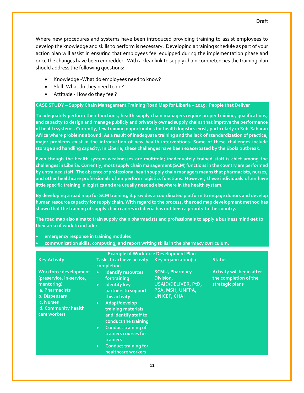Where new procedures and systems have been introduced providing training to assist employees to develop the knowledge and skills to perform is necessary. Developing a training schedule as part of your action plan will assist in ensuring that employees feel equipped during the implementation phase and once the changes have been embedded. With a clear link to supply chain competencies the training plan should address the following questions:

- Knowledge -What do employees need to know?
- Skill What do they need to do?
- Attitude How do they feel?

#### **CASE STUDY – Supply Chain Management Training Road Map for Liberia – 2015: People that Deliver**

**To adequately perform their functions, health supply chain managers require proper training, qualifications, and capacity to design and manage publicly and privately owned supply chains that improve the performance of health systems. Currently, few training opportunities for health logistics exist, particularly in Sub-Saharan Africa where problems abound. As a result of inadequate training and the lack of standardization of practice, major problems exist in the introduction of new health interventions. Some of these challenges include storage and handling capacity. In Liberia, these challenges have been exacerbated by the Ebola outbreak.**

**Even though the health system weaknesses are multifold; inadequately trained staff is chief among the challenges in Liberia. Currently, most supply chain management (SCM) functions in the country are performed by untrained staff. The absence of professional health supply chain managers means that pharmacists, nurses, and other healthcare professionals often perform logistics functions. However, these individuals often have little specific training in logistics and are usually needed elsewhere in the health system.** 

**By developing a road map for SCM training, it provides a coordinated platform to engage donors and develop human resource capacity for supply chain. With regard to the process, the road map development method has shown that the training of supply chain cadres in Liberia has not been a priority to the country.** 

**The road map also aims to train supply chain pharmacists and professionals to apply a business mind-set to their area of work to include:**

- **emergency response in training modules**
- **communication skills, computing, and report writing skills in the pharmacy curriculum.**

| <b>Example of Workforce Development Plan</b>                                                                                                           |                                                                                                                                                                                                                                                                                                                                                                                                       |                                                                                                      |                                                                              |  |  |  |  |  |
|--------------------------------------------------------------------------------------------------------------------------------------------------------|-------------------------------------------------------------------------------------------------------------------------------------------------------------------------------------------------------------------------------------------------------------------------------------------------------------------------------------------------------------------------------------------------------|------------------------------------------------------------------------------------------------------|------------------------------------------------------------------------------|--|--|--|--|--|
| <b>Key Activity</b>                                                                                                                                    | Tasks to achieve activity Key organization(s)<br>completion                                                                                                                                                                                                                                                                                                                                           |                                                                                                      | <b>Status</b>                                                                |  |  |  |  |  |
| Workforce development<br>(preservice, in-service,<br>mentoring)<br>a. Pharmacists<br>b. Dispensers<br>c. Nurses<br>d. Community health<br>care workers | <b>Identify resources</b><br>$\bullet$<br>for training<br><b>Identify key</b><br>$\bullet$ .<br>partners to support<br>this activity<br>Adapt/develop<br>$\bullet$<br>training materials<br>and identify staff to<br>conduct the training<br><b>Conduct training of</b><br>$\bullet$ .<br>trainers courses for<br><b>trainers</b><br><b>Conduct training for</b><br>$\bullet$ .<br>healthcare workers | <b>SCMU, Pharmacy</b><br>Division,<br>USAID/DELIVER, PtD,<br>PSA, MSH, UNFPA,<br><b>UNICEF, CHAI</b> | <b>Activity will begin after</b><br>the completion of the<br>strategic plans |  |  |  |  |  |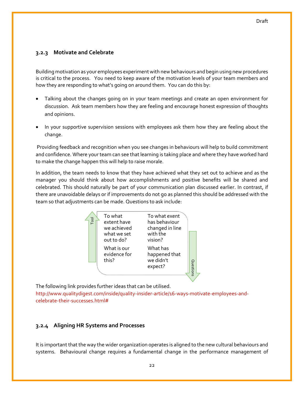## <span id="page-21-0"></span>**3.2.3 Motivate and Celebrate**

Building motivation as your employees experiment with new behaviours and begin using new procedures is critical to the process. You need to keep aware of the motivation levels of your team members and how they are responding to what's going on around them. You can do this by:

- Talking about the changes going on in your team meetings and create an open environment for discussion. Ask team members how they are feeling and encourage honest expression of thoughts and opinions.
- In your supportive supervision sessions with employees ask them how they are feeling about the change.

Providing feedback and recognition when you see changes in behaviours will help to build commitment and confidence. Where your team can see that learning is taking place and where they have worked hard to make the change happen this will help to raise morale.

In addition, the team needs to know that they have achieved what they set out to achieve and as the manager you should think about how accomplishments and positive benefits will be shared and celebrated. This should naturally be part of your communication plan discussed earlier. In contrast, if there are unavoidable delays or if improvements do not go as planned this should be addressed with the team so that adjustments can be made. Questions to ask include:

| Tool | To what<br>extent have<br>we achieved<br>what we set<br>out to do? | To what exent<br>has behaviour<br>changed in line<br>with the<br>vision? |           |  |
|------|--------------------------------------------------------------------|--------------------------------------------------------------------------|-----------|--|
|      | What is our<br>evidence for<br>this?                               | What has<br>happened that<br>we didn't<br>expect?                        | Questions |  |

The following link provides further ideas that can be utilised.

[http://www.qualitydigest.com/inside/quality-insider-article/16-ways-motivate-employees-and](http://www.qualitydigest.com/inside/quality-insider-article/16-ways-motivate-employees-and-celebrate-their-successes.html)[celebrate-their-successes.html#](http://www.qualitydigest.com/inside/quality-insider-article/16-ways-motivate-employees-and-celebrate-their-successes.html)

# <span id="page-21-1"></span>**3.2.4 Aligning HR Systems and Processes**

It is important that the way the wider organization operates is aligned to the new cultural behaviours and systems. Behavioural change requires a fundamental change in the performance management of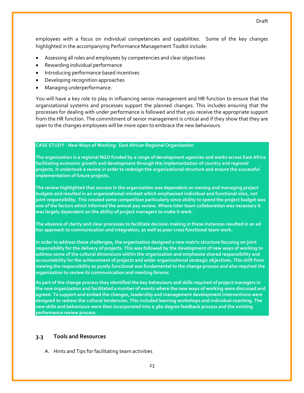employees with a focus on individual competencies and capabilities. Some of the key changes highlighted in the accompanying Performance Management Toolkit include:

- Assessing all roles and employees by competencies and clear objectives
- Rewarding individual performance
- Introducing performance based incentives
- Developing recognition approaches
- Managing underperformance.

You will have a key role to play in influencing senior management and HR function to ensure that the organizational systems and processes support the planned changes. This includes ensuring that the processes for dealing with under performance is followed and that you receive the appropriate support from the HR function. The commitment of senior management is critical and if they show that they are open to the changes employees will be more open to embrace the new behaviours.

## **CASE STUDY - New Ways of Working: East African Regional Organization**

The organization is a regional NGO funded by a range of development agencies and works across East Africa **facilitating economic growth and development through the implementation of country and regional projects. It undertook a review in order to redesign the organizational structure and ensure the successful implementation of future projects.**

**The review highlighted that success in the organization was dependent on owning and managing project budgets and resulted in an organizational mindset which emphasised individual and functional silos, not joint responsibility. This created some competition particularly since ability to spend the project budget was one of the factors which informed the annual pay review. Where inter team collaboration was necessary it was largely dependent on the ability of project managers to make it work.**

The absence of clarity and clear processes to facilitate decision making in these instances resulted in an ad **hoc approach to communication and integration, as well as poor cross functional team work.**

**In order to address these challenges, the organization designed a new matrix structure focusing on joint responsibility for the delivery of projects. This was followed by the development of new ways of working to address some of the cultural dimensions within the organization and emphasise shared responsibility and accountability for the achievement of projects and wider organizational strategic objectives. This shift from viewing the responsibility as purely functional was fundamental to the change process and also required the organization to review its communication and meeting forums.** 

**As part of the change process they identified the key behaviours and skills required of project managers in the new organization and facilitated a number of events where the new ways of working were discussed and agreed. To support and embed the changes, leadership and management development interventions were designed to redress the cultural tendencies. This included learning workshops and individual coaching. The new skills and behaviours were then incorporated into a 360-degree feedback process and the existing performance review process.** 

## <span id="page-22-0"></span>**3.3 Tools and Resources**

A. Hints and Tips for facilitating team activities